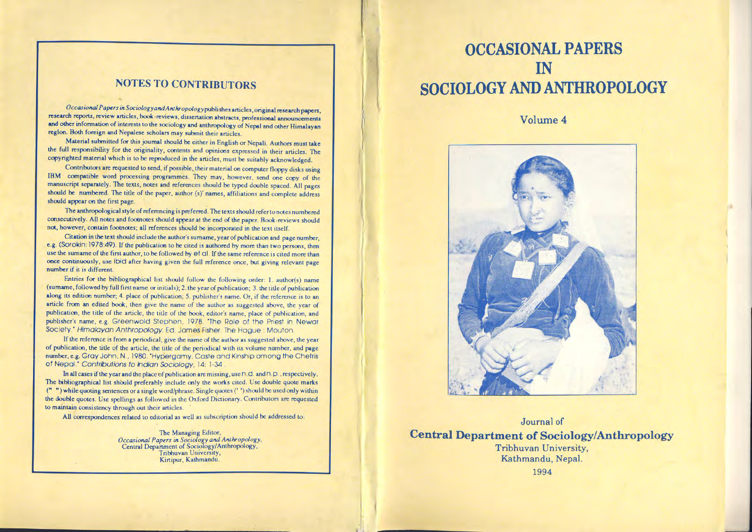## **NOTES TO CONTRIBUTORS**

Occasional Papers in Sociology and Anthropology publishes articles, original research papers, research reports, review articles, book-reviews, dissertation abstracts, professional announcements and other information of interests to the sociology and anthropology of Nepal and other Himalayan region. Both foreign and Nepalese scholars may submit their articles.

Material submitted for this journal should be either in English or Nepali. Authors must take the full responsibility for the originality, contents and opinions expressed in their articles. The copyrighted material which is to be reproduced in the articles, must be suitably acknowledged.

Contributors are requested to send, if possible, their material on computer floppy disks using IBM compatible word processing programmes. They may, however, send one copy of the manuscript separately. The texts, notes and references should be typed double spaced. All pages should be numbered. The title of the paper, author (s)' names, affiliations and complete address should appear on the first page.

The anthropological style of referencing is preferred. The texts should refer to notes numbered consecutively. All notes and footnotes should appear at the end of the paper. Book-reviews should not, however, contain footnotes; all references should be incorporated in the text itself.

Citation in the text should include the author's sumame, year of publication and page number, e.g. (SOrokin: 1978:49). If the publication to be cited is authored by more than two persons, then use the sumame of the first author, to be followed by et al. If the same reference is cited more than once continuously, use ibid after having given the full reference once, but giving relevant page number if it is different.

Entries for the bibliographical list should follow the following order: 1. author(s) name (surname, followed by full first name or initials); 2. the year of publication; 3. the title of publication along its edition number; 4. place of publication; 5. publisher's name. Or, if the reference is to an article from an edited book, then give the name of the author as suggested above, the year of publication, the title of the article, the title of the book, editor's name, place of publication, and publisher's name, e.g. Greenwold Stephen, 1978. "The Role of the Priest in Newar Society." Himalayan Anthropology. Ed. James Fisher. The Hague: Mouton.

If the reference is from a periodical, give the name of the author as suggested above, the year of publication, the title of the article, the title of the periodical with its volume number, and page number, e.g. Gray John, N., 1980. "Hypergamy, Caste and Kinship among the Chetris of Nepal." Contributions to Indian Sociology, 14: 1-34

In all cases if the year and the place of publication are missing, use  $\cap$   $\cup$  and  $\cap$   $\cup$ , respectively. The bibliographical list should preferably include only the works cited. Use double quote marks ("") while quoting sentences or a single word/phrase. Single quotes ("") should be used only within the double quotes. Use spellings as followed in the Oxford Dictionary. Contributors are requested to maintain consistency through out their articles.

All correspondences related to editorial as well as subscription should be addressed to:

The Managing Editor, Occasional Papers in Sociology and Anthropology,<br>Central Department of Sociology/Anthropology, Tribhuvan University, Kirtipur, Kathmandu.

## **OCCASIONAL PAPERS** IN SOCIOLOGY AND ANTHROPOLOGY

### Volume 4



Journal of

**Central Department of Sociology/Anthropology** Tribhuvan University, Kathmandu, Nepal.

1994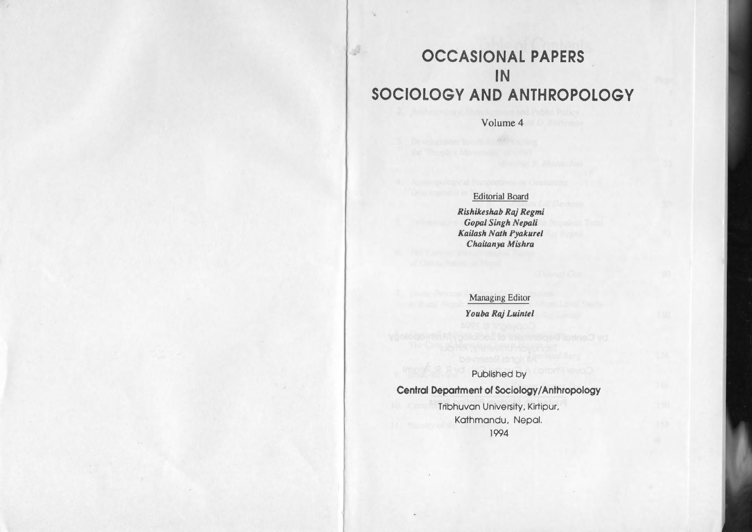# **OCCASIONAL PAPERS IN SOCIOLOGY AND ANTHROPOLOGY**

 $\mathcal{A}$ 

Volume 4

## Editorial Board

 $Rishikeshab RajRegmi$  $G$ *opal Singh Nepali KaiJash Nalh Pyakurtl ChiJiJanya Mishra*

Managing Editor *Youba Raj Luinltl*

Published by

**Central Department** of Sociology/Anthropology

Tribhuvan University. Kirtipur. Kathmandu. Nepal. 1994